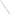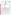|  |  |  | THE ENVIRONMENTAL TECHNOLOGY VERIFICATION |  |
|--|--|--|-------------------------------------------|--|
|  |  |  |                                           |  |







## **ETV Joint Verification Statement**

| <b>TECHNOLOGY TYPE: Continuous Emission Monitor</b> |                                                                                                                   |                                             |  |  |  |
|-----------------------------------------------------|-------------------------------------------------------------------------------------------------------------------|---------------------------------------------|--|--|--|
| <b>APPLICATION:</b>                                 | <b>MEASURING ELEMENTAL AND TOTAL MERCURY</b><br><b>EMISSIONS</b>                                                  |                                             |  |  |  |
| <b>TECHNOLOGY</b><br><b>NAME:</b>                   | <b>Lumex Mercury CEM</b>                                                                                          |                                             |  |  |  |
| <b>COMPANY:</b>                                     | Lumex Ltd.                                                                                                        |                                             |  |  |  |
| <b>ADDRESS:</b><br><b>WEB SITE:</b><br>E-MAIL:      | <b>Ohio Lumex</b><br>5405 E. Schaaf Road<br>Cleveland, OH 44131<br>http://www.ohiolumex.com<br>mail@ohiolumex.com | PHONE: 888-876-2611<br>FAX:<br>216-642-9700 |  |  |  |

The U.S. Environmental Protection Agency (EPA) has created the Environmental Technology Verification (ETV) Program to facilitate the deployment of innovative or improved environmental technologies through performance verification and dissemination of information. The goal of the ETV Program is to further environmental protection by substantially accelerating the acceptance and use of improved and cost-effective technologies. ETV seeks to achieve this goal by providing high-quality, peer-reviewed data on technology performance to those involved in the design, distribution, financing, permitting, purchase, and use of environmental technologies.

ETV works in partnership with recognized standards and testing organizations; with stakeholder groups that consist of buyers, vendor organizations, and permitters; and with the full participation of individual technology developers. The program evaluates the performance of innovative technologies by developing test plans that are responsive to the needs of stakeholders, conducting field or laboratory tests (as appropriate), collecting and analyzing data, and preparing peer-reviewed reports. All evaluations are conducted in accordance with rigorous quality assurance protocols to ensure that data of known and adequate quality are generated and that the results are defensible.

The Advanced Monitoring Systems (AMS) Center, one of six technology centers under ETV, is operated by Battelle in cooperation with EPA's National Exposure Research Laboratory. The AMS Center has recently evaluated the performance of continuous emission monitors used to measure mercury in flue gases. This verification statement provides a summary of the test results for the Lumex Ltd. mercury continuous emission monitor (CEM).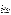## **VERIFICATION TEST DESCRIPTION**

The verification test was conducted over a three-week period in January 2001 at the Rotary Kiln Incinerator Simulator (RKIS) facility at EPA's Environmental Research Center, in Research Triangle Park, North Carolina. This mercury CEM verification test was conducted jointly by Battelle's AMS Center, EPA's Office of Research and Development, and the Massachusetts Department of Environmental Protection. A week of setup and trial runs was followed by two weeks of verification testing under different flue gas conditions. The daily test activities provided data for verification of the following performance parameters of the Lumex CEM: relative accuracy in comparison to reference method results, correlation with the reference method, precision in sampling at stable flue gas conditions, calibration/zero drift from day to day, sampling system bias in transfer of mercury to the CEM's analyzer, interference effects of flue gas constituents on CEM response, response time to rising and falling mercury levels, response to low levels of mercury, data completeness over the course of the test, and setup and maintenance needs of the CEM. The Ontario Hydro (OH) draft American Society for Testing and Materials mercury speciation method was used as the reference method in this verification test. Paired OH trains were sampled at two locations in the RKIS duct to establish the precision of the OH method.

Quality assurance (QA) oversight of verification testing was provided by Battelle and EPA. Battelle QA staff conducted a data quality audit of 10% of the test data, and a technical systems audit of the procedures used in this verification. EPA QA staff also conducted an independent technical systems audit at the RKIS.

## **TECHNOLOGY DESCRIPTION**

The Lumex CEM is a real-time continuous monitor for elemental and total mercury. The Lumex CEM is based on the analytical approach of cold vapor atomic absorption spectroscopy for detection of elemental mercury, with Zeeman high-frequency polarization background correction. The multipath optical cell and the Zeeman reduction of background interferences are designed to provide high sensitivity with minimal interferences from the combustion gas matrix. The sensitivity of this approach allows continuous real-time operation with no preconcentration and desorption steps. The CEM uses catalytic pyrolysis to decompose oxidized mercury to elemental mercury for detection, and thus uses no wet chemical reagents and no external gas supplies. The Lumex CEM is a two-channel instrument, in which one mercury detector operates with the catalytic pyrolyzer and one without, thereby providing simultaneous and continuous readings of total and elemental mercury, respectively. The Lumex CEM is microprocessor controlled by an RS-232 communications link. Software includes Windows-based data acquisition and processing. Readings can be reported at intervals from 1 second to 3 minutes; in this verification, data from both channels of the CEM were recorded at 1-second intervals. The Lumex CEM is a new device; during this verification test, modifications were made by Lumex staff that may have affected verification results. In addition, the Lumex CEM suffered accidental damage during the verification test that required substituting two external mercury detectors for the internal detectors in the CEM. Those external detectors were Lumex RA 915+ portable mercury detectors, designed for sensitive, fast-response measurements of elemental mercury. RA 915+ Serial No. 167 was used for detection of elemental mercury and RA 915+ Serial No. 164 was used for detection of total mercury by connection downstream of the catalytic pyrolyzer in the Lumex CEM. The RA 915+ units use the same detection approach as the CEM's internal detectors, and thus were a reasonable substitute that allowed verification to continue. The period when the RA 915+ detectors were used instead of the CEM's detectors is clearly indicated in this report.

## **VERIFICATION OF PERFORMANCE**

**Relative accuracy:** During the first week of verification testing, the Lumex CEM provided accuracy relative to the OH method of 58.2% for total mercury, at levels of about 7 to 8  $\mu$ g/m<sup>3</sup>. Testing showed relative accuracy of 50.2% for elemental mercury, and 99% for oxidized mercury, at elemental mercury levels of about 6 to 7  $\mu$ g/m<sup>3</sup> and oxidized mercury levels of about 1 to 1.5  $\mu$ g/m<sup>3</sup>. In the second week of verification, the Lumex instruments provided relative accuracy of 71% for total mercury, at total mercury levels of approximately 70 to 120  $\mu$ g/m<sup>3</sup>. Relative accuracy of 107% for elemental mercury, and 69.4% for oxidized mercury, was found at elemental mercury levels ranging from about 5 to 25  $\mu$ g/m<sup>3</sup> and oxidized mercury levels ranging from about 45 to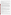$110 \,\mu g/m<sup>3</sup>$ . These RA results were caused primarily by a consistent underestimation of all mercury concentrations by the Lumex CEM, that may have been due to both losses of mercury in the inlet systems, and low pyrolyzer temperatures for much of the test.

**Correlation with the reference method:** The coefficient of determination  $(r^2)$  of the Lumex and OH elemental mercury results was 0.052, based on the data from both weeks of verification. The corresponding  $r^2$  values for oxidized mercury and total mercury were 0.631 and 0.621, respectively.

**Precision at stable flue gas conditions:** Precision of the Lumex response was assessed in periods of stable mercury levels in the flue gas, during the 15 OH sampling periods. The precision (as percent RSD) of the Lumex response for elemental mercury was within 10% in five of the 15 periods, and within 15% in eight of the periods. For total mercury, precision was within 10% RSD in eight of the 15 periods and within 15% in 11 of the periods. These precision results include both variability in the test facility and in the Lumex instruments.

**Calibration/zero drift:** Calibration and zero drift were determined by repeated analysis of zero gas and elemental mercury standard gases. The failure of the Lumex CEM and subsequent substitution of the RA 915+ detectors interrupted the continuity of this portion of the test. Both the Lumex CEM and the RA 915+ detectors gave consistent readings on zero gas in both weeks of testing. Six analyses of a mercury standard gas with the Lumex CEM in the first week of verification gave average responses of 15.7 ( $\pm$  7.9) and 14.7 ( $\pm$  6.9)  $\mu$ g/m<sup>3</sup> for elemental and total mercury, respectively. These values equate to percent RSD's of 50.3 and 46.7%, respectively. Three analyses of the same standard with the RA 915+ detectors in the first week gave 13.2 ( $\pm$  0.35) and 11.7 ( $\pm$ 3.0)  $\mu$ g/m<sup>3</sup>, respectively, for percent RSD values of 2.7% and 25.4%. Seven analyses of a different standard by the RA 915+ detectors in the second week of verification gave readings of 55.3 ( $\pm$  2.98) and 58.3 ( $\pm$  3.55)  $\mu$ g/m<sup>3</sup> for elemental and total mercury, respectively. These standard gas results equate to percent RSD values of 5.4% and 6.1%, respectively.

**Sampling system bias:** Sampling system bias of the inlet systems used with the Lumex CEM and RA 915+ detectors was determined using elemental mercury gas standards. The bias in transport of elemental mercury through the entire inlet systems ranged from -20.5 to -44.5%.

**Interference effects of flue gas constituents:** Elevated levels of sulfur dioxide, nitrogen oxides, and carbon monoxide had little effect on Lumex CEM response to elemental or oxidized mercury in flue gas. However, the presence of hydrogen chloride or chlorine reduced elemental mercury readings from about 5 µg/m<sup>3</sup> to less than  $1 \mu g/m<sup>3</sup>$ , and the total mercury readings were also reduced by half or more in the presence of these species. When these gases were all present at once in the flue gas, the Lumex elemental mercury readings remained below  $1 \mu g/m<sup>3</sup>$ , and the total mercury readings were only about 60% of those with the same mercury level but no interferants present.

**Response time to changing mercury levels:** The Lumex CEM exhibited rise and fall times that varied substantially, usually ranging between about 30 seconds and 100 seconds.

**Response to low levels of mercury:** The Lumex CEM (with RA 915+ detectors in place) responded to as little as 0.57  $\mu$ g/m<sup>3</sup> of mercury in flue gas, but the response to concentrations of 0.57 to 4.5  $\mu$ g/m<sup>3</sup> averaged only about 55% of the nominal mercury concentration. Loss of mercury in the CEM's inlet system is one possible cause for the low response at low mercury levels.

**Data completeness:** Data completeness cannot be estimated well because of the changes in detectors used and the modifications made to Lumex inlet systems and the pyrolysis unit during the test.

**Setup and maintenance needs:** The setup and operation of the Lumex instruments was relatively simple, and the pyrolysis approach requires no chemical reagents or solutions and no external gas supplies. Routine maintenance